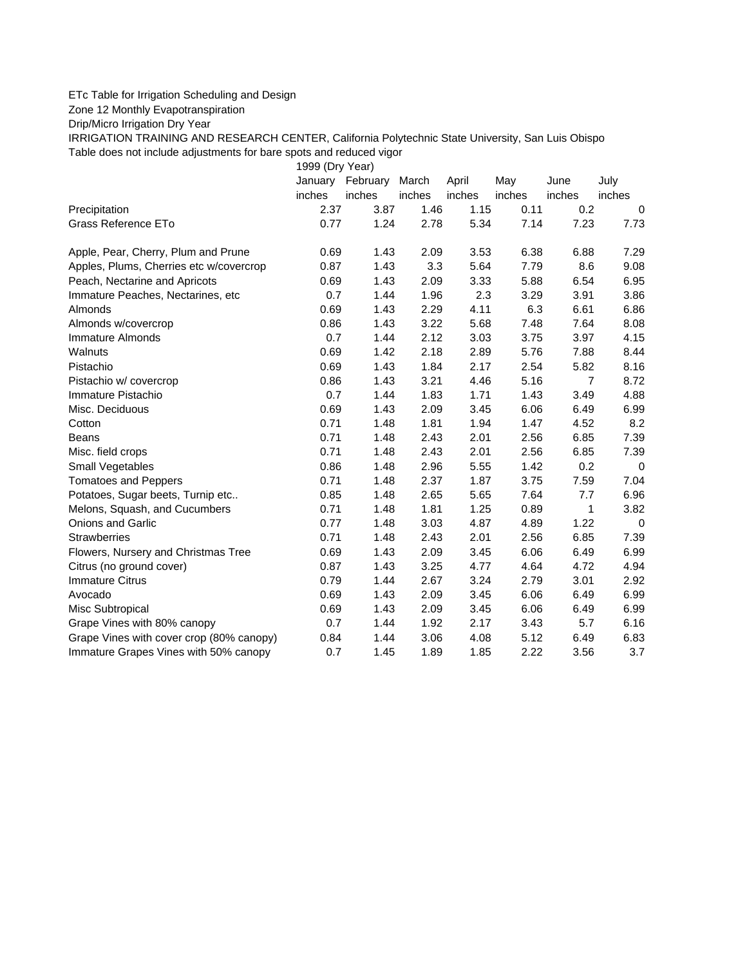## ETc Table for Irrigation Scheduling and Design

Zone 12 Monthly Evapotranspiration

Drip/Micro Irrigation Dry Year

IRRIGATION TRAINING AND RESEARCH CENTER, California Polytechnic State University, San Luis Obispo Table does not include adjustments for bare spots and reduced vigor

1999 (Dry Year)

|                                          | January | February | March  | April  | May    | June           | July        |
|------------------------------------------|---------|----------|--------|--------|--------|----------------|-------------|
|                                          | inches  | inches   | inches | inches | inches | inches         | inches      |
| Precipitation                            | 2.37    | 3.87     | 1.46   | 1.15   | 0.11   | 0.2            | $\Omega$    |
| Grass Reference ETo                      | 0.77    | 1.24     | 2.78   | 5.34   | 7.14   | 7.23           | 7.73        |
| Apple, Pear, Cherry, Plum and Prune      | 0.69    | 1.43     | 2.09   | 3.53   | 6.38   | 6.88           | 7.29        |
| Apples, Plums, Cherries etc w/covercrop  | 0.87    | 1.43     | 3.3    | 5.64   | 7.79   | 8.6            | 9.08        |
| Peach, Nectarine and Apricots            | 0.69    | 1.43     | 2.09   | 3.33   | 5.88   | 6.54           | 6.95        |
| Immature Peaches, Nectarines, etc.       | 0.7     | 1.44     | 1.96   | 2.3    | 3.29   | 3.91           | 3.86        |
| Almonds                                  | 0.69    | 1.43     | 2.29   | 4.11   | 6.3    | 6.61           | 6.86        |
| Almonds w/covercrop                      | 0.86    | 1.43     | 3.22   | 5.68   | 7.48   | 7.64           | 8.08        |
| Immature Almonds                         | 0.7     | 1.44     | 2.12   | 3.03   | 3.75   | 3.97           | 4.15        |
| Walnuts                                  | 0.69    | 1.42     | 2.18   | 2.89   | 5.76   | 7.88           | 8.44        |
| Pistachio                                | 0.69    | 1.43     | 1.84   | 2.17   | 2.54   | 5.82           | 8.16        |
| Pistachio w/ covercrop                   | 0.86    | 1.43     | 3.21   | 4.46   | 5.16   | $\overline{7}$ | 8.72        |
| Immature Pistachio                       | 0.7     | 1.44     | 1.83   | 1.71   | 1.43   | 3.49           | 4.88        |
| Misc. Deciduous                          | 0.69    | 1.43     | 2.09   | 3.45   | 6.06   | 6.49           | 6.99        |
| Cotton                                   | 0.71    | 1.48     | 1.81   | 1.94   | 1.47   | 4.52           | 8.2         |
| <b>Beans</b>                             | 0.71    | 1.48     | 2.43   | 2.01   | 2.56   | 6.85           | 7.39        |
| Misc. field crops                        | 0.71    | 1.48     | 2.43   | 2.01   | 2.56   | 6.85           | 7.39        |
| <b>Small Vegetables</b>                  | 0.86    | 1.48     | 2.96   | 5.55   | 1.42   | 0.2            | $\mathbf 0$ |
| <b>Tomatoes and Peppers</b>              | 0.71    | 1.48     | 2.37   | 1.87   | 3.75   | 7.59           | 7.04        |
| Potatoes, Sugar beets, Turnip etc        | 0.85    | 1.48     | 2.65   | 5.65   | 7.64   | 7.7            | 6.96        |
| Melons, Squash, and Cucumbers            | 0.71    | 1.48     | 1.81   | 1.25   | 0.89   | 1              | 3.82        |
| Onions and Garlic                        | 0.77    | 1.48     | 3.03   | 4.87   | 4.89   | 1.22           | $\mathbf 0$ |
| <b>Strawberries</b>                      | 0.71    | 1.48     | 2.43   | 2.01   | 2.56   | 6.85           | 7.39        |
| Flowers, Nursery and Christmas Tree      | 0.69    | 1.43     | 2.09   | 3.45   | 6.06   | 6.49           | 6.99        |
| Citrus (no ground cover)                 | 0.87    | 1.43     | 3.25   | 4.77   | 4.64   | 4.72           | 4.94        |
| <b>Immature Citrus</b>                   | 0.79    | 1.44     | 2.67   | 3.24   | 2.79   | 3.01           | 2.92        |
| Avocado                                  | 0.69    | 1.43     | 2.09   | 3.45   | 6.06   | 6.49           | 6.99        |
| Misc Subtropical                         | 0.69    | 1.43     | 2.09   | 3.45   | 6.06   | 6.49           | 6.99        |
| Grape Vines with 80% canopy              | 0.7     | 1.44     | 1.92   | 2.17   | 3.43   | 5.7            | 6.16        |
| Grape Vines with cover crop (80% canopy) | 0.84    | 1.44     | 3.06   | 4.08   | 5.12   | 6.49           | 6.83        |
| Immature Grapes Vines with 50% canopy    | 0.7     | 1.45     | 1.89   | 1.85   | 2.22   | 3.56           | 3.7         |